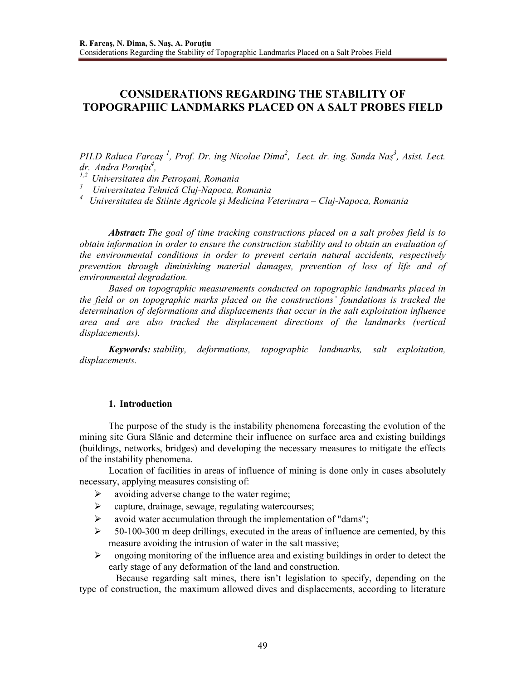# **CONSIDERATIONS REGARDING THE STABILITY OF TOPOGRAPHIC LANDMARKS PLACED ON A SALT PROBES FIELD**

*PH.D Raluca Farcaş <sup>1</sup> , Prof. Dr. ing Nicolae Dima<sup>2</sup> , Lect. dr. ing. Sanda Naş<sup>3</sup> , Asist. Lect. dr. Andra Poruţiu<sup>4</sup> ,* 

*1,2 Universitatea din Petroşani, Romania* 

*3 Universitatea Tehnică Cluj-Napoca, Romania*

*<sup>4</sup>Universitatea de Stiinte Agricole şi Medicina Veterinara – Cluj-Napoca, Romania*

*Abstract: The goal of time tracking constructions placed on a salt probes field is to obtain information in order to ensure the construction stability and to obtain an evaluation of the environmental conditions in order to prevent certain natural accidents, respectively prevention through diminishing material damages, prevention of loss of life and of environmental degradation.* 

 *Based on topographic measurements conducted on topographic landmarks placed in the field or on topographic marks placed on the constructions' foundations is tracked the determination of deformations and displacements that occur in the salt exploitation influence area and are also tracked the displacement directions of the landmarks (vertical displacements).* 

*Keywords: stability, deformations, topographic landmarks, salt exploitation, displacements.* 

# **1. Introduction**

The purpose of the study is the instability phenomena forecasting the evolution of the mining site Gura Slănic and determine their influence on surface area and existing buildings (buildings, networks, bridges) and developing the necessary measures to mitigate the effects of the instability phenomena.

 Location of facilities in areas of influence of mining is done only in cases absolutely necessary, applying measures consisting of:

- $\blacktriangleright$ avoiding adverse change to the water regime;
- $\rightarrow$ capture, drainage, sewage, regulating watercourses;
- $\blacktriangleright$ avoid water accumulation through the implementation of "dams";
- $\rightarrow$  50-100-300 m deep drillings, executed in the areas of influence are cemented, by this measure avoiding the intrusion of water in the salt massive;
- ongoing monitoring of the influence area and existing buildings in order to detect the early stage of any deformation of the land and construction.

 Because regarding salt mines, there isn't legislation to specify, depending on the type of construction, the maximum allowed dives and displacements, according to literature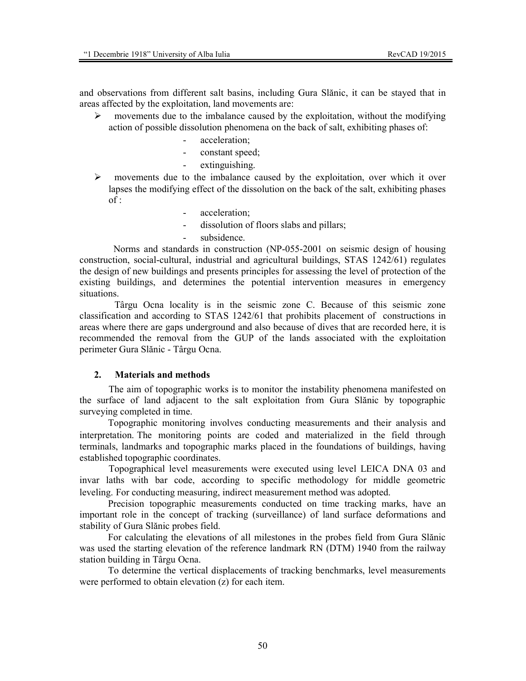and observations from different salt basins, including Gura Slănic, it can be stayed that in areas affected by the exploitation, land movements are:

- $\blacktriangleright$  movements due to the imbalance caused by the exploitation, without the modifying action of possible dissolution phenomena on the back of salt, exhibiting phases of:
	- acceleration:
	- constant speed;
	- extinguishing.
- $\blacktriangleright$  movements due to the imbalance caused by the exploitation, over which it over lapses the modifying effect of the dissolution on the back of the salt, exhibiting phases  $of:$ 
	- acceleration;
	- dissolution of floors slabs and pillars;
	- subsidence.

 Norms and standards in construction (NP-055-2001 on seismic design of housing construction, social-cultural, industrial and agricultural buildings, STAS 1242/61) regulates the design of new buildings and presents principles for assessing the level of protection of the existing buildings, and determines the potential intervention measures in emergency situations.

 Târgu Ocna locality is in the seismic zone C. Because of this seismic zone classification and according to STAS 1242/61 that prohibits placement of constructions in areas where there are gaps underground and also because of dives that are recorded here, it is recommended the removal from the GUP of the lands associated with the exploitation perimeter Gura Slănic - Târgu Ocna.

# **2. Materials and methods**

 The aim of topographic works is to monitor the instability phenomena manifested on the surface of land adjacent to the salt exploitation from Gura Slănic by topographic surveying completed in time.

Topographic monitoring involves conducting measurements and their analysis and interpretation. The monitoring points are coded and materialized in the field through terminals, landmarks and topographic marks placed in the foundations of buildings, having established topographic coordinates.

Topographical level measurements were executed using level LEICA DNA 03 and invar laths with bar code, according to specific methodology for middle geometric leveling. For conducting measuring, indirect measurement method was adopted.

Precision topographic measurements conducted on time tracking marks, have an important role in the concept of tracking (surveillance) of land surface deformations and stability of Gura Slănic probes field.

For calculating the elevations of all milestones in the probes field from Gura Slănic was used the starting elevation of the reference landmark RN (DTM) 1940 from the railway station building in Târgu Ocna.

To determine the vertical displacements of tracking benchmarks, level measurements were performed to obtain elevation (z) for each item.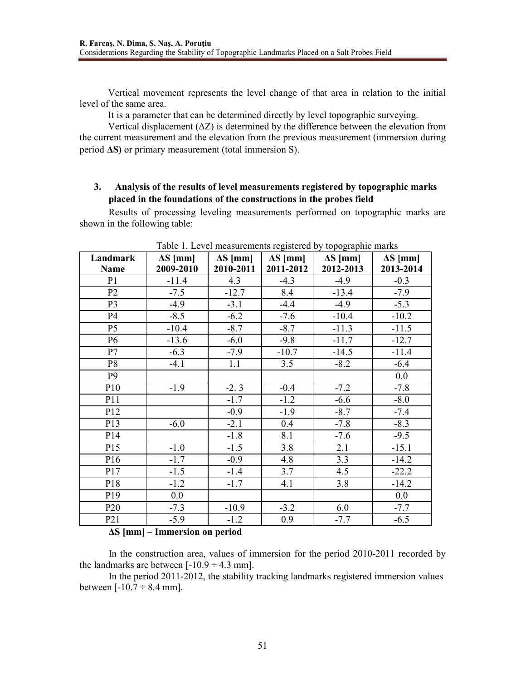Vertical movement represents the level change of that area in relation to the initial level of the same area.

It is a parameter that can be determined directly by level topographic surveying.

Vertical displacement (∆Z) is determined by the difference between the elevation from the current measurement and the elevation from the previous measurement (immersion during period **∆S)** or primary measurement (total immersion S).

# **3. Analysis of the results of level measurements registered by topographic marks placed in the foundations of the constructions in the probes field**

Results of processing leveling measurements performed on topographic marks are shown in the following table:

| $\frac{1}{2}$ and $\frac{1}{2}$ . Even thought internal register of $\frac{1}{2}$<br>ropogrupino mumo |                 |                 |                 |                 |                 |
|-------------------------------------------------------------------------------------------------------|-----------------|-----------------|-----------------|-----------------|-----------------|
| Landmark                                                                                              | $\Delta S$ [mm] | $\Delta S$ [mm] | $\Delta S$ [mm] | $\Delta S$ [mm] | $\Delta S$ [mm] |
| <b>Name</b>                                                                                           | 2009-2010       | 2010-2011       | 2011-2012       | 2012-2013       | 2013-2014       |
| P <sub>1</sub>                                                                                        | $-11.4$         | 4.3             | $-4.3$          | $-4.9$          | $-0.3$          |
| P <sub>2</sub>                                                                                        | $-7.5$          | $-12.7$         | 8.4             | $-13.4$         | $-7.9$          |
| P <sub>3</sub>                                                                                        | $-4.9$          | $-3.1$          | $-4.4$          | $-4.9$          | $-5.3$          |
| P4                                                                                                    | $-8.5$          | $-6.2$          | $-7.6$          | $-10.4$         | $-10.2$         |
| P <sub>5</sub>                                                                                        | $-10.4$         | $-8.7$          | $-8.7$          | $-11.3$         | $-11.5$         |
| P <sub>6</sub>                                                                                        | $-13.6$         | $-6.0$          | $-9.8$          | $-11.7$         | $-12.7$         |
| P7                                                                                                    | $-6.3$          | $-7.9$          | $-10.7$         | $-14.5$         | $-11.4$         |
| P <sub>8</sub>                                                                                        | $-4.1$          | 1.1             | 3.5             | $-8.2$          | $-6.4$          |
| P <sub>9</sub>                                                                                        |                 |                 |                 |                 | 0.0             |
| P10                                                                                                   | $-1.9$          | $-2.3$          | $-0.4$          | $-7.2$          | $-7.8$          |
| P11                                                                                                   |                 | $-1.7$          | $-1.2$          | $-6.6$          | $-8.0$          |
| P12                                                                                                   |                 | $-0.9$          | $-1.9$          | $-8.7$          | $-7.4$          |
| P13                                                                                                   | $-6.0$          | $-2.1$          | 0.4             | $-7.8$          | $-8.3$          |
| P14                                                                                                   |                 | $-1.8$          | 8.1             | $-7.6$          | $-9.5$          |
| P15                                                                                                   | $-1.0$          | $-1.5$          | 3.8             | 2.1             | $-15.1$         |
| P <sub>16</sub>                                                                                       | $-1.7$          | $-0.9$          | 4.8             | 3.3             | $-14.2$         |
| P17                                                                                                   | $-1.5$          | $-1.4$          | 3.7             | 4.5             | $-22.2$         |
| P18                                                                                                   | $-1.2$          | $-1.7$          | 4.1             | 3.8             | $-14.2$         |
| P19                                                                                                   | 0.0             |                 |                 |                 | 0.0             |
| P <sub>20</sub>                                                                                       | $-7.3$          | $-10.9$         | $-3.2$          | 6.0             | $-7.7$          |
| P <sub>21</sub>                                                                                       | $-5.9$          | $-1.2$          | 0.9             | $-7.7$          | $-6.5$          |

Table 1. Level measurements registered by topographic marks

# **∆S [mm] – Immersion on period**

In the construction area, values of immersion for the period 2010-2011 recorded by the landmarks are between  $[-10.9 \div 4.3 \text{ mm}]$ .

In the period 2011-2012, the stability tracking landmarks registered immersion values between  $[-10.7 \div 8.4 \text{ mm}]$ .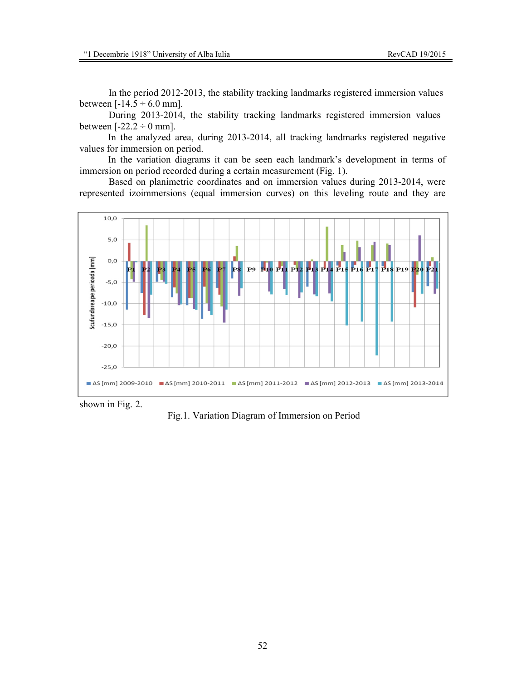In the period 2012-2013, the stability tracking landmarks registered immersion values between  $[-14.5 \div 6.0 \text{ mm}]$ .

During 2013-2014, the stability tracking landmarks registered immersion values between  $[-22.2 \div 0$  mm].

In the analyzed area, during 2013-2014, all tracking landmarks registered negative values for immersion on period.

In the variation diagrams it can be seen each landmark's development in terms of immersion on period recorded during a certain measurement (Fig. 1).

Based on planimetric coordinates and on immersion values during 2013-2014, were represented izoimmersions (equal immersion curves) on this leveling route and they are



shown in Fig. 2.

Fig.1. Variation Diagram of Immersion on Period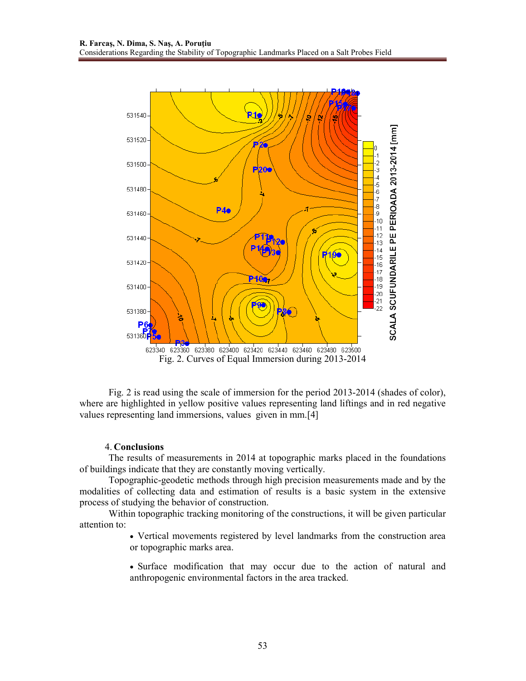

Fig. 2 is read using the scale of immersion for the period 2013-2014 (shades of color), where are highlighted in yellow positive values representing land liftings and in red negative values representing land immersions, values given in mm.[4]

#### 4. **Conclusions**

The results of measurements in 2014 at topographic marks placed in the foundations of buildings indicate that they are constantly moving vertically.

Topographic-geodetic methods through high precision measurements made and by the modalities of collecting data and estimation of results is a basic system in the extensive process of studying the behavior of construction.

Within topographic tracking monitoring of the constructions, it will be given particular attention to:

> • Vertical movements registered by level landmarks from the construction area or topographic marks area.

> • Surface modification that may occur due to the action of natural and anthropogenic environmental factors in the area tracked.